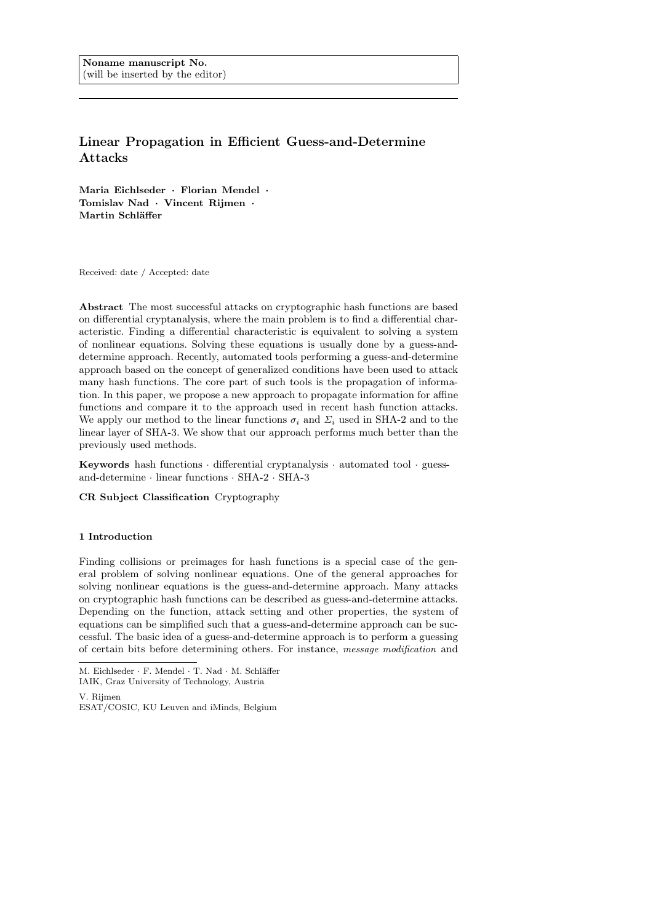# Linear Propagation in Efficient Guess-and-Determine Attacks

Maria Eichlseder · Florian Mendel · Tomislav Nad · Vincent Rijmen · Martin Schläffer

Received: date / Accepted: date

Abstract The most successful attacks on cryptographic hash functions are based on differential cryptanalysis, where the main problem is to find a differential characteristic. Finding a differential characteristic is equivalent to solving a system of nonlinear equations. Solving these equations is usually done by a guess-anddetermine approach. Recently, automated tools performing a guess-and-determine approach based on the concept of generalized conditions have been used to attack many hash functions. The core part of such tools is the propagation of information. In this paper, we propose a new approach to propagate information for affine functions and compare it to the approach used in recent hash function attacks. We apply our method to the linear functions  $\sigma_i$  and  $\Sigma_i$  used in SHA-2 and to the linear layer of SHA-3. We show that our approach performs much better than the previously used methods.

Keywords hash functions · differential cryptanalysis · automated tool · guessand-determine · linear functions · SHA-2 · SHA-3

CR Subject Classification Cryptography

# 1 Introduction

Finding collisions or preimages for hash functions is a special case of the general problem of solving nonlinear equations. One of the general approaches for solving nonlinear equations is the guess-and-determine approach. Many attacks on cryptographic hash functions can be described as guess-and-determine attacks. Depending on the function, attack setting and other properties, the system of equations can be simplified such that a guess-and-determine approach can be successful. The basic idea of a guess-and-determine approach is to perform a guessing of certain bits before determining others. For instance, message modification and

M. Eichlseder  $\cdot$  F. Mendel  $\cdot$  T. Nad  $\cdot$  M. Schläffer

IAIK, Graz University of Technology, Austria

V. Rijmen ESAT/COSIC, KU Leuven and iMinds, Belgium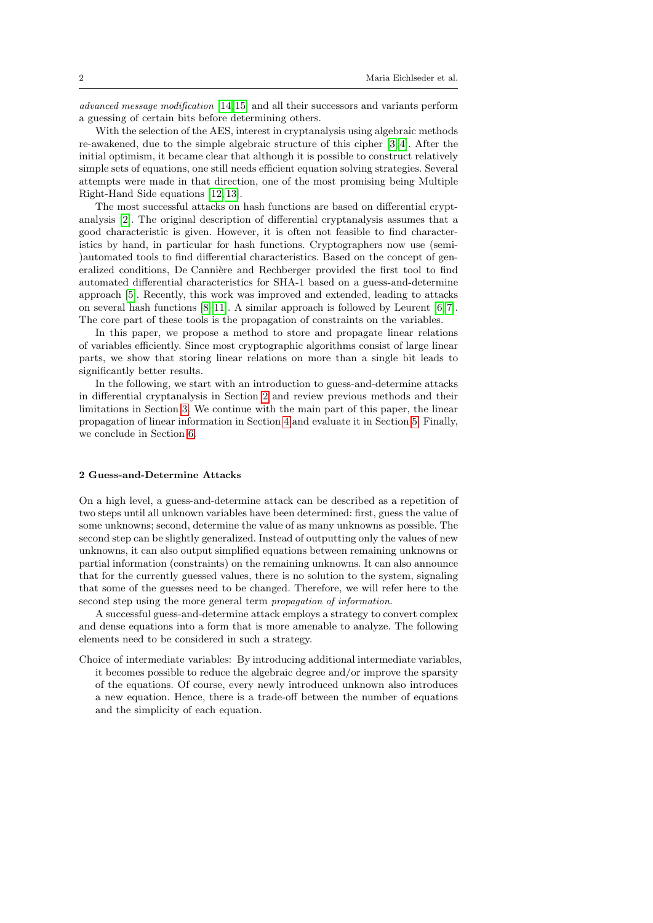advanced message modification [\[14,](#page-9-0)[15\]](#page-9-1) and all their successors and variants perform a guessing of certain bits before determining others.

With the selection of the AES, interest in cryptanalysis using algebraic methods re-awakened, due to the simple algebraic structure of this cipher [\[3,](#page-9-2) [4\]](#page-9-3). After the initial optimism, it became clear that although it is possible to construct relatively simple sets of equations, one still needs efficient equation solving strategies. Several attempts were made in that direction, one of the most promising being Multiple Right-Hand Side equations [\[12,](#page-9-4) [13\]](#page-9-5).

The most successful attacks on hash functions are based on differential cryptanalysis [\[2\]](#page-9-6). The original description of differential cryptanalysis assumes that a good characteristic is given. However, it is often not feasible to find characteristics by hand, in particular for hash functions. Cryptographers now use (semi- )automated tools to find differential characteristics. Based on the concept of generalized conditions, De Cannière and Rechberger provided the first tool to find automated differential characteristics for SHA-1 based on a guess-and-determine approach [\[5\]](#page-9-7). Recently, this work was improved and extended, leading to attacks on several hash functions [\[8](#page-9-8)[–11\]](#page-9-9). A similar approach is followed by Leurent [\[6,](#page-9-10) [7\]](#page-9-11). The core part of these tools is the propagation of constraints on the variables.

In this paper, we propose a method to store and propagate linear relations of variables efficiently. Since most cryptographic algorithms consist of large linear parts, we show that storing linear relations on more than a single bit leads to significantly better results.

In the following, we start with an introduction to guess-and-determine attacks in differential cryptanalysis in Section [2](#page-1-0) and review previous methods and their limitations in Section [3.](#page-2-0) We continue with the main part of this paper, the linear propagation of linear information in Section [4](#page-4-0) and evaluate it in Section [5.](#page-6-0) Finally, we conclude in Section [6.](#page-8-0)

# <span id="page-1-0"></span>2 Guess-and-Determine Attacks

On a high level, a guess-and-determine attack can be described as a repetition of two steps until all unknown variables have been determined: first, guess the value of some unknowns; second, determine the value of as many unknowns as possible. The second step can be slightly generalized. Instead of outputting only the values of new unknowns, it can also output simplified equations between remaining unknowns or partial information (constraints) on the remaining unknowns. It can also announce that for the currently guessed values, there is no solution to the system, signaling that some of the guesses need to be changed. Therefore, we will refer here to the second step using the more general term propagation of information.

A successful guess-and-determine attack employs a strategy to convert complex and dense equations into a form that is more amenable to analyze. The following elements need to be considered in such a strategy.

Choice of intermediate variables: By introducing additional intermediate variables, it becomes possible to reduce the algebraic degree and/or improve the sparsity of the equations. Of course, every newly introduced unknown also introduces a new equation. Hence, there is a trade-off between the number of equations and the simplicity of each equation.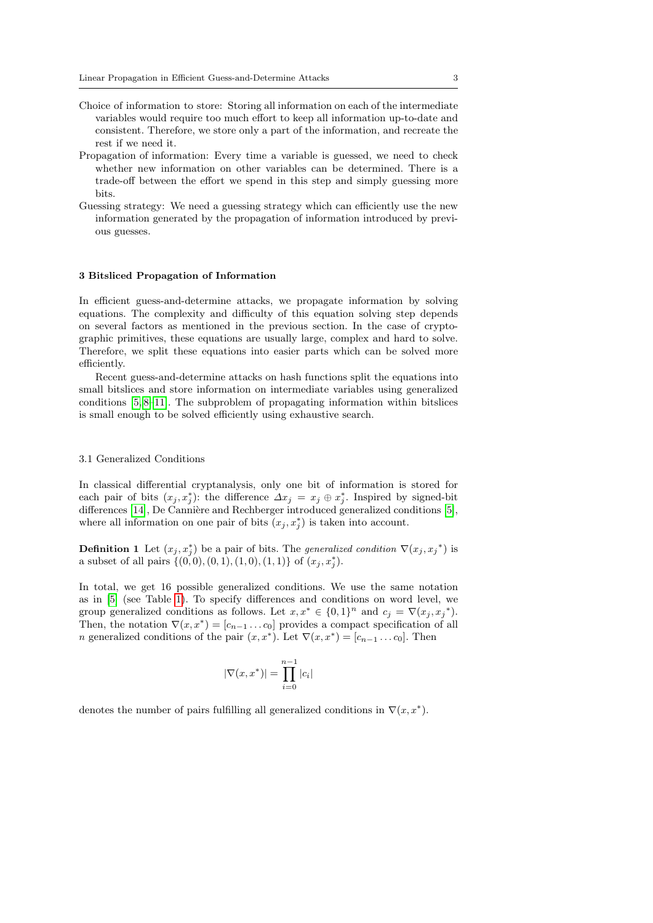- Choice of information to store: Storing all information on each of the intermediate variables would require too much effort to keep all information up-to-date and consistent. Therefore, we store only a part of the information, and recreate the rest if we need it.
- Propagation of information: Every time a variable is guessed, we need to check whether new information on other variables can be determined. There is a trade-off between the effort we spend in this step and simply guessing more bits.
- Guessing strategy: We need a guessing strategy which can efficiently use the new information generated by the propagation of information introduced by previous guesses.

#### <span id="page-2-0"></span>3 Bitsliced Propagation of Information

In efficient guess-and-determine attacks, we propagate information by solving equations. The complexity and difficulty of this equation solving step depends on several factors as mentioned in the previous section. In the case of cryptographic primitives, these equations are usually large, complex and hard to solve. Therefore, we split these equations into easier parts which can be solved more efficiently.

Recent guess-and-determine attacks on hash functions split the equations into small bitslices and store information on intermediate variables using generalized conditions [\[5,](#page-9-7) [8–](#page-9-8)[11\]](#page-9-9). The subproblem of propagating information within bitslices is small enough to be solved efficiently using exhaustive search.

#### 3.1 Generalized Conditions

In classical differential cryptanalysis, only one bit of information is stored for each pair of bits  $(x_j, x_j^*)$ : the difference  $\Delta x_j = x_j \oplus x_j^*$ . Inspired by signed-bit differences [\[14\]](#page-9-0), De Cannière and Rechberger introduced generalized conditions [\[5\]](#page-9-7), where all information on one pair of bits  $(x_j, x_j^*)$  is taken into account.

**Definition 1** Let  $(x_j, x_j^*)$  be a pair of bits. The *generalized condition*  $\nabla (x_j, x_j^*)$  is a subset of all pairs  $\{(0,0), (0, 1), (1, 0), (1, 1)\}$  of  $(x_j, x_j^*)$ .

In total, we get 16 possible generalized conditions. We use the same notation as in [\[5\]](#page-9-7) (see Table [1\)](#page-5-0). To specify differences and conditions on word level, we group generalized conditions as follows. Let  $x, x^* \in \{0, 1\}^n$  and  $c_j = \nabla(x_j, x_j^*)$ . Then, the notation  $\nabla(x, x^*) = [c_{n-1} \dots c_0]$  provides a compact specification of all *n* generalized conditions of the pair  $(x, x^*)$ . Let  $\nabla(x, x^*) = [c_{n-1} \dots c_0]$ . Then

$$
|\nabla(x, x^*)| = \prod_{i=0}^{n-1} |c_i|
$$

denotes the number of pairs fulfilling all generalized conditions in  $\nabla(x, x^*)$ .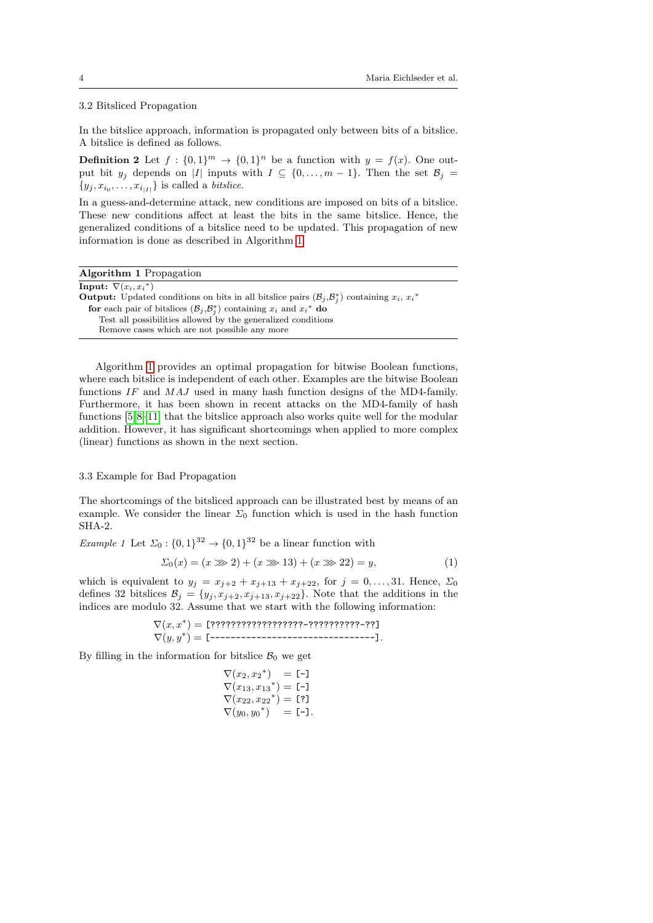# <span id="page-3-1"></span>3.2 Bitsliced Propagation

In the bitslice approach, information is propagated only between bits of a bitslice. A bitslice is defined as follows.

**Definition 2** Let  $f : \{0,1\}^m \to \{0,1\}^n$  be a function with  $y = f(x)$ . One output bit  $y_j$  depends on |I| inputs with  $I \subseteq \{0, \ldots, m-1\}$ . Then the set  $\mathcal{B}_j =$  ${y_j, x_{i_0}, \ldots, x_{i_{|I|}}}$  is called a *bitslice*.

In a guess-and-determine attack, new conditions are imposed on bits of a bitslice. These new conditions affect at least the bits in the same bitslice. Hence, the generalized conditions of a bitslice need to be updated. This propagation of new information is done as described in Algorithm [1.](#page-3-0)

|  |  | <b>Algorithm 1</b> Propagation |
|--|--|--------------------------------|
|--|--|--------------------------------|

<span id="page-3-0"></span>

| Input: $\nabla(x_i, x_i^*)$                                                                                                |
|----------------------------------------------------------------------------------------------------------------------------|
| <b>Output:</b> Updated conditions on bits in all bitslice pairs $(\mathcal{B}_i, \mathcal{B}_i^*)$ containing $x_i, x_i^*$ |
| for each pair of bitslices $(\mathcal{B}_j, \mathcal{B}_j^*)$ containing $x_i$ and $x_i^*$ do                              |
| Test all possibilities allowed by the generalized conditions                                                               |
| Remove cases which are not possible any more                                                                               |
|                                                                                                                            |

Algorithm [1](#page-3-0) provides an optimal propagation for bitwise Boolean functions, where each bitslice is independent of each other. Examples are the bitwise Boolean functions IF and MAJ used in many hash function designs of the MD4-family. Furthermore, it has been shown in recent attacks on the MD4-family of hash functions [\[5,](#page-9-7)[8–](#page-9-8)[11\]](#page-9-9) that the bitslice approach also works quite well for the modular addition. However, it has significant shortcomings when applied to more complex (linear) functions as shown in the next section.

# 3.3 Example for Bad Propagation

The shortcomings of the bitsliced approach can be illustrated best by means of an example. We consider the linear  $\Sigma_0$  function which is used in the hash function SHA-2.

*Example 1* Let  $\Sigma_0: \{0,1\}^{32} \to \{0,1\}^{32}$  be a linear function with

$$
\Sigma_0(x) = (x \gg 2) + (x \gg 13) + (x \gg 22) = y,\tag{1}
$$

which is equivalent to  $y_j = x_{j+2} + x_{j+13} + x_{j+22}$ , for  $j = 0, ..., 31$ . Hence,  $\Sigma_0$ defines 32 bitslices  $\mathcal{B}_j = \{y_j, x_{j+2}, x_{j+13}, x_{j+22}\}.$  Note that the additions in the indices are modulo 32. Assume that we start with the following information:

> $\nabla(x,x^*) =$  [?????????????????????????????????]  $\nabla(y, y^*) =$  [---------------------------------].

By filling in the information for bitslice  $B_0$  we get

$$
\nabla(x_2, x_2^*) = [-1] \n\nabla(x_{13}, x_{13}^*) = [-1] \n\nabla(x_{22}, x_{22}^*) = [7] \n\nabla(y_0, y_0^*) = [-1].
$$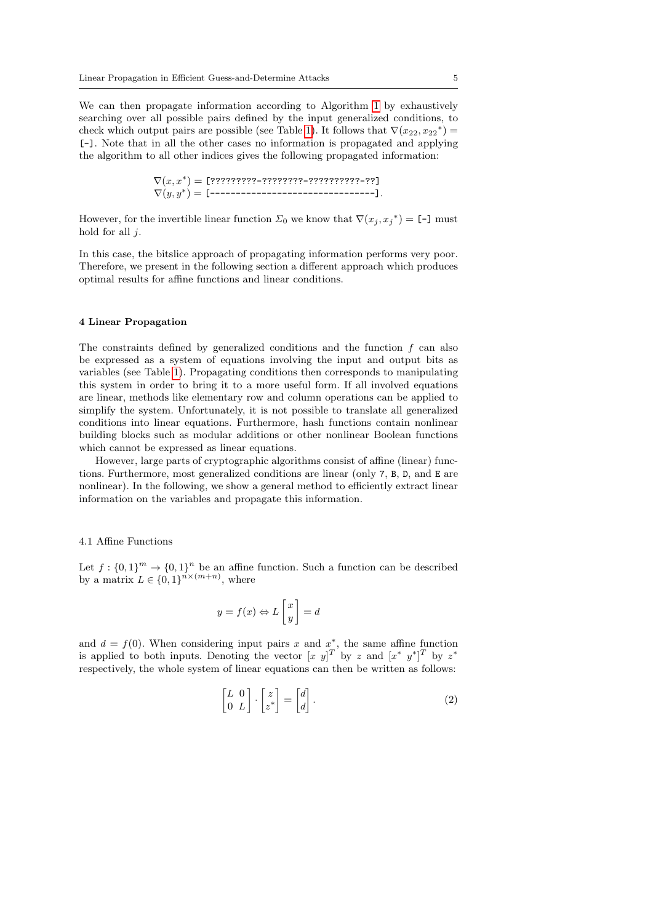We can then propagate information according to Algorithm [1](#page-3-0) by exhaustively searching over all possible pairs defined by the input generalized conditions, to check which output pairs are possible (see Table [1\)](#page-5-0). It follows that  $\nabla$  $(x_{22}, x_{22}^*)$ [-]. Note that in all the other cases no information is propagated and applying the algorithm to all other indices gives the following propagated information:

$$
\nabla(x,x^*) = [???????????--????????????????--??]\n\nabla(y,y^*) = [--------------------].
$$

However, for the invertible linear function  $\Sigma_0$  we know that  $\nabla (x_j, x_j^*) = [-1]$  must hold for all  $j$ .

In this case, the bitslice approach of propagating information performs very poor. Therefore, we present in the following section a different approach which produces optimal results for affine functions and linear conditions.

#### <span id="page-4-0"></span>4 Linear Propagation

The constraints defined by generalized conditions and the function  $f$  can also be expressed as a system of equations involving the input and output bits as variables (see Table [1\)](#page-5-0). Propagating conditions then corresponds to manipulating this system in order to bring it to a more useful form. If all involved equations are linear, methods like elementary row and column operations can be applied to simplify the system. Unfortunately, it is not possible to translate all generalized conditions into linear equations. Furthermore, hash functions contain nonlinear building blocks such as modular additions or other nonlinear Boolean functions which cannot be expressed as linear equations.

However, large parts of cryptographic algorithms consist of affine (linear) functions. Furthermore, most generalized conditions are linear (only 7, B, D, and E are nonlinear). In the following, we show a general method to efficiently extract linear information on the variables and propagate this information.

## 4.1 Affine Functions

Let  $f: \{0,1\}^m \to \{0,1\}^n$  be an affine function. Such a function can be described by a matrix  $L \in \{0,1\}^{n \times (m+n)}$ , where

$$
y = f(x) \Leftrightarrow L\begin{bmatrix} x \\ y \end{bmatrix} = d
$$

and  $d = f(0)$ . When considering input pairs x and  $x^*$ , the same affine function is applied to both inputs. Denoting the vector  $[x \ y]^T$  by z and  $[x^* \ y^*]^T$  by  $z^*$ respectively, the whole system of linear equations can then be written as follows:

<span id="page-4-1"></span>
$$
\begin{bmatrix} L & 0 \\ 0 & L \end{bmatrix} \cdot \begin{bmatrix} z \\ z^* \end{bmatrix} = \begin{bmatrix} d \\ d \end{bmatrix}.
$$
 (2)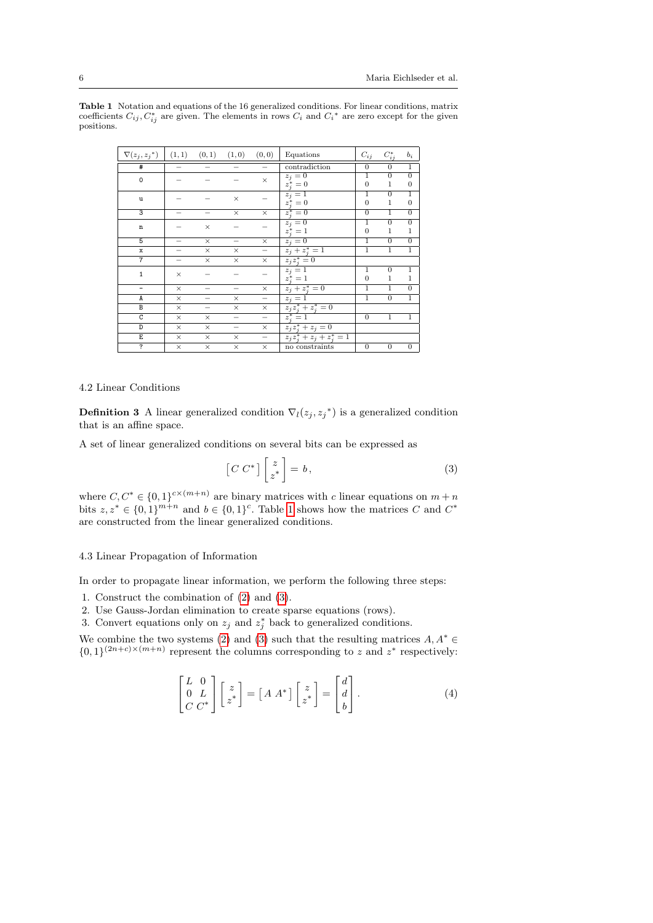| $\nabla(z_i, z_i^*)$ | $(1,1)$ $(0,1)$ $(1,0)$ |          |          | (0, 0)                   | Equations                                                                    | $\mathcal{C}_{ij}$             | $C_{ij}^*$                     | $b_i$                              |
|----------------------|-------------------------|----------|----------|--------------------------|------------------------------------------------------------------------------|--------------------------------|--------------------------------|------------------------------------|
| #                    |                         |          |          |                          | contradiction                                                                | $\boldsymbol{0}$               | $\overline{0}$                 | $\overline{1}$                     |
| 0                    |                         |          |          | $\times$                 | $z_j=0$<br>$z_i^* = 0$                                                       | $\overline{1}$<br>$\theta$     | $\overline{0}$<br>$\mathbf{1}$ | $\overline{0}$<br>$\boldsymbol{0}$ |
| u                    |                         |          | $\times$ |                          | $\begin{array}{c}\nz_j = 1 \\ z_i^* = 0\n\end{array}$                        | $\mathbf 1$<br>$\overline{0}$  | $\overline{0}$<br>1            | 1<br>$\theta$                      |
| $\overline{3}$       |                         |          | $\times$ | $\times$                 | $z_i^* = 0$                                                                  | $\overline{0}$                 | $\overline{1}$                 | $\overline{0}$                     |
| n                    |                         | $\times$ |          |                          | $\begin{array}{c}\n\overline{z_j} = 0\\ \n\overline{z_i^*} = 1\n\end{array}$ | $\overline{1}$<br>$\theta$     | $\overline{0}$<br>1            | $\overline{0}$<br>1                |
| 5                    |                         | $\times$ |          | $\times$                 | $z_i=0$                                                                      | $\mathbf{1}$                   | $\overline{0}$                 | $\overline{0}$                     |
| $\mathbf{x}$         |                         | $\times$ | $\times$ |                          | $z_j + z_j^* = 1$                                                            | $\mathbf{1}$                   | $\mathbf{1}$                   | $\mathbf{1}$                       |
| $\overline{7}$       |                         | $\times$ | $\times$ | $\times$                 | $z_jz_i^*=0$                                                                 |                                |                                |                                    |
| $\mathbf{1}$         | $\times$                |          |          |                          | $z_j=1$<br>$z_i^* = 1$                                                       | $\mathbf{1}$<br>$\overline{0}$ | $\overline{0}$<br>1            | 1<br>1                             |
|                      | $\times$                |          |          | $\times$                 | $z_j + z_j^* = 0$                                                            | $\mathbf{1}$                   | $\mathbf{1}$                   | $\overline{0}$                     |
| A                    | $\times$                |          | $\times$ | $\overline{\phantom{0}}$ | $z_j = 1$                                                                    | $\mathbf{1}$                   | $\overline{0}$                 | $\mathbf{1}$                       |
| B                    | $\times$                |          | $\times$ | $\times$                 | $z_j z_j^* + z_j^* = 0$                                                      |                                |                                |                                    |
| $\overline{c}$       | $\times$                | $\times$ |          |                          | $z_i^* = 1$                                                                  | $\overline{0}$                 | ī                              | 1                                  |
| $\overline{D}$       | $\times$                | $\times$ |          | $\times$                 | $z_iz_i^* + z_j = 0$                                                         |                                |                                |                                    |
| E                    | $\times$                | $\times$ | $\times$ | $\qquad \qquad -$        | $z_j z_i^* + z_j + z_i^* = 1$                                                |                                |                                |                                    |
| ?                    | $\times$                | $\times$ | $\times$ | $\times$                 | no constraints                                                               | $\theta$                       | $\boldsymbol{0}$               | $\boldsymbol{0}$                   |

<span id="page-5-0"></span>**Table 1** Notation and equations of the 16 generalized conditions. For linear conditions, matrix coefficients  $C_{ij}$ ,  $C_{ij}^*$  are given. The elements in rows  $C_i$  and  $C_i^*$  are zero except for the given positions.

## 4.2 Linear Conditions

**Definition 3** A linear generalized condition  $\nabla_l(z_j, z_j^*)$  is a generalized condition that is an affine space.

A set of linear generalized conditions on several bits can be expressed as

<span id="page-5-1"></span>
$$
\[C\ C^*\] \begin{bmatrix} z \\ z^* \end{bmatrix} = b \,, \tag{3}
$$

where  $C, C^* \in \{0,1\}^{c \times (m+n)}$  are binary matrices with c linear equations on  $m+n$ bits  $z, z^* \in \{0, 1\}^{m+n}$  $z, z^* \in \{0, 1\}^{m+n}$  $z, z^* \in \{0, 1\}^{m+n}$  and  $b \in \{0, 1\}^c$ . Table 1 shows how the matrices C and  $C^*$ are constructed from the linear generalized conditions.

## <span id="page-5-2"></span>4.3 Linear Propagation of Information

In order to propagate linear information, we perform the following three steps:

- 1. Construct the combination of [\(2\)](#page-4-1) and [\(3\)](#page-5-1).
- 2. Use Gauss-Jordan elimination to create sparse equations (rows).
- 3. Convert equations only on  $z_j$  and  $z_j^*$  back to generalized conditions.

We combine the two systems [\(2\)](#page-4-1) and [\(3\)](#page-5-1) such that the resulting matrices  $A, A^* \in$  ${0,1}^{(2n+c)\times(m+n)}$  represent the columns corresponding to z and  $z^*$  respectively:

$$
\begin{bmatrix} L & 0 \\ 0 & L \\ C & C^* \end{bmatrix} \begin{bmatrix} z \\ z^* \end{bmatrix} = [A \ A^*] \begin{bmatrix} z \\ z^* \end{bmatrix} = \begin{bmatrix} d \\ d \\ b \end{bmatrix}.
$$
 (4)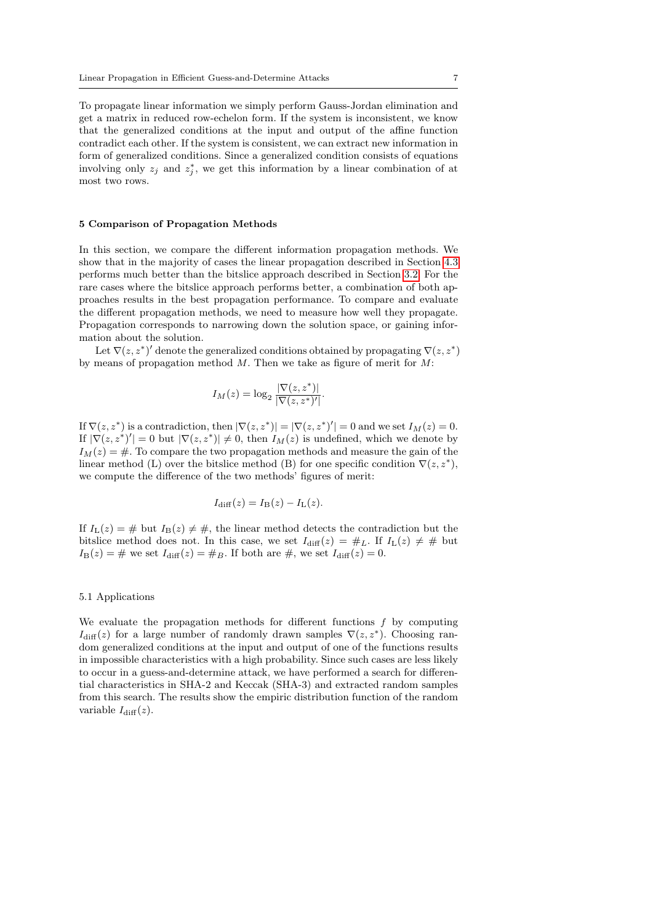To propagate linear information we simply perform Gauss-Jordan elimination and get a matrix in reduced row-echelon form. If the system is inconsistent, we know that the generalized conditions at the input and output of the affine function contradict each other. If the system is consistent, we can extract new information in form of generalized conditions. Since a generalized condition consists of equations involving only  $z_j$  and  $z_j^*$ , we get this information by a linear combination of at most two rows.

#### <span id="page-6-0"></span>5 Comparison of Propagation Methods

In this section, we compare the different information propagation methods. We show that in the majority of cases the linear propagation described in Section [4.3](#page-5-2) performs much better than the bitslice approach described in Section [3.2.](#page-3-1) For the rare cases where the bitslice approach performs better, a combination of both approaches results in the best propagation performance. To compare and evaluate the different propagation methods, we need to measure how well they propagate. Propagation corresponds to narrowing down the solution space, or gaining information about the solution.

Let  $\nabla(z, z^*)'$  denote the generalized conditions obtained by propagating  $\nabla(z, z^*)$ by means of propagation method  $M$ . Then we take as figure of merit for  $M$ :

$$
I_M(z) = \log_2 \frac{|\nabla(z, z^*)|}{|\nabla(z, z^*)'|}.
$$

If  $\nabla(z, z^*)$  is a contradiction, then  $|\nabla(z, z^*)| = |\nabla(z, z^*)'| = 0$  and we set  $I_M(z) = 0$ . If  $|\nabla(z, z^*)'| = 0$  but  $|\nabla(z, z^*)| \neq 0$ , then  $I_M(z)$  is undefined, which we denote by  $I_M(z) = \text{\#}$ . To compare the two propagation methods and measure the gain of the linear method (L) over the bitslice method (B) for one specific condition  $\nabla(z, z^*)$ , we compute the difference of the two methods' figures of merit:

$$
I_{\text{diff}}(z) = I_{\text{B}}(z) - I_{\text{L}}(z).
$$

If  $I_{\text{L}}(z) = #$  but  $I_{\text{B}}(z) \neq #$ , the linear method detects the contradiction but the bitslice method does not. In this case, we set  $I_{\text{diff}}(z) = #_L$ . If  $I_L(z) \neq #$  but  $I_{\text{B}}(z) = #$  we set  $I_{\text{diff}}(z) = #_B$ . If both are #, we set  $I_{\text{diff}}(z) = 0$ .

## 5.1 Applications

We evaluate the propagation methods for different functions  $f$  by computing  $I_{\text{diff}}(z)$  for a large number of randomly drawn samples  $\nabla(z, z^*)$ . Choosing random generalized conditions at the input and output of one of the functions results in impossible characteristics with a high probability. Since such cases are less likely to occur in a guess-and-determine attack, we have performed a search for differential characteristics in SHA-2 and Keccak (SHA-3) and extracted random samples from this search. The results show the empiric distribution function of the random variable  $I_{\text{diff}}(z)$ .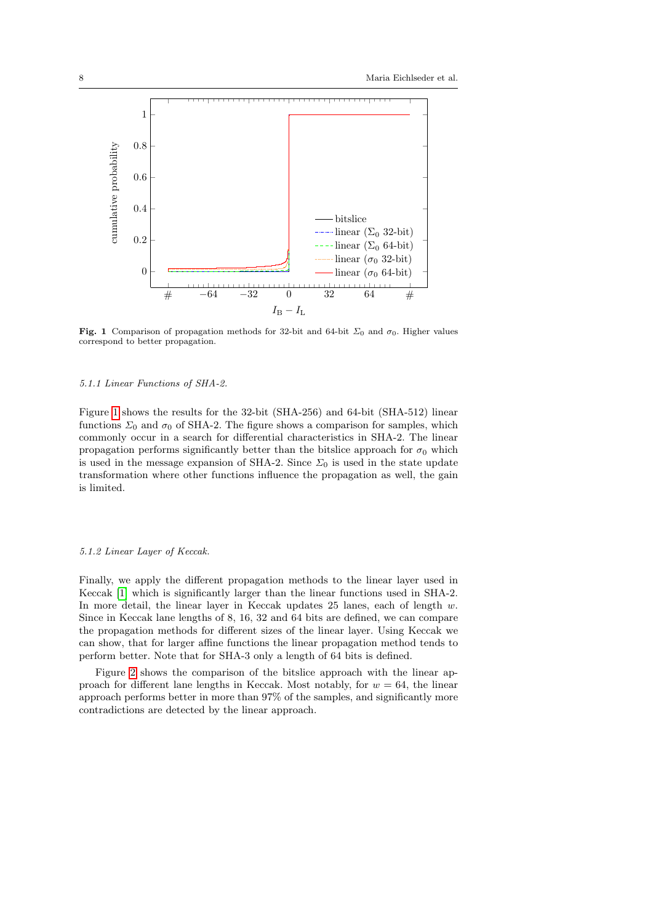

<span id="page-7-0"></span>Fig. 1 Comparison of propagation methods for 32-bit and 64-bit  $\Sigma_0$  and  $\sigma_0$ . Higher values correspond to better propagation.

#### 5.1.1 Linear Functions of SHA-2.

Figure [1](#page-7-0) shows the results for the 32-bit (SHA-256) and 64-bit (SHA-512) linear functions  $\Sigma_0$  and  $\sigma_0$  of SHA-2. The figure shows a comparison for samples, which commonly occur in a search for differential characteristics in SHA-2. The linear propagation performs significantly better than the bitslice approach for  $\sigma_0$  which is used in the message expansion of SHA-2. Since  $\Sigma_0$  is used in the state update transformation where other functions influence the propagation as well, the gain is limited.

# 5.1.2 Linear Layer of Keccak.

Finally, we apply the different propagation methods to the linear layer used in Keccak [\[1\]](#page-9-12) which is significantly larger than the linear functions used in SHA-2. In more detail, the linear layer in Keccak updates 25 lanes, each of length  $w$ . Since in Keccak lane lengths of 8, 16, 32 and 64 bits are defined, we can compare the propagation methods for different sizes of the linear layer. Using Keccak we can show, that for larger affine functions the linear propagation method tends to perform better. Note that for SHA-3 only a length of 64 bits is defined.

Figure [2](#page-8-1) shows the comparison of the bitslice approach with the linear approach for different lane lengths in Keccak. Most notably, for  $w = 64$ , the linear approach performs better in more than 97% of the samples, and significantly more contradictions are detected by the linear approach.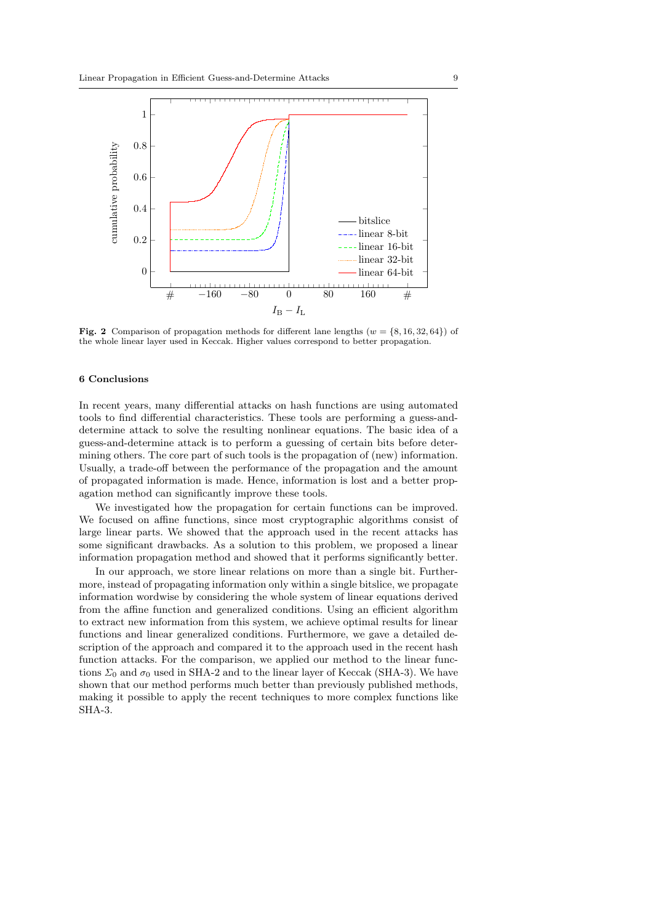

<span id="page-8-1"></span>Fig. 2 Comparison of propagation methods for different lane lengths ( $w = \{8, 16, 32, 64\}$ ) of the whole linear layer used in Keccak. Higher values correspond to better propagation.

# <span id="page-8-0"></span>6 Conclusions

In recent years, many differential attacks on hash functions are using automated tools to find differential characteristics. These tools are performing a guess-anddetermine attack to solve the resulting nonlinear equations. The basic idea of a guess-and-determine attack is to perform a guessing of certain bits before determining others. The core part of such tools is the propagation of (new) information. Usually, a trade-off between the performance of the propagation and the amount of propagated information is made. Hence, information is lost and a better propagation method can significantly improve these tools.

We investigated how the propagation for certain functions can be improved. We focused on affine functions, since most cryptographic algorithms consist of large linear parts. We showed that the approach used in the recent attacks has some significant drawbacks. As a solution to this problem, we proposed a linear information propagation method and showed that it performs significantly better.

In our approach, we store linear relations on more than a single bit. Furthermore, instead of propagating information only within a single bitslice, we propagate information wordwise by considering the whole system of linear equations derived from the affine function and generalized conditions. Using an efficient algorithm to extract new information from this system, we achieve optimal results for linear functions and linear generalized conditions. Furthermore, we gave a detailed description of the approach and compared it to the approach used in the recent hash function attacks. For the comparison, we applied our method to the linear functions  $\Sigma_0$  and  $\sigma_0$  used in SHA-2 and to the linear layer of Keccak (SHA-3). We have shown that our method performs much better than previously published methods, making it possible to apply the recent techniques to more complex functions like SHA-3.